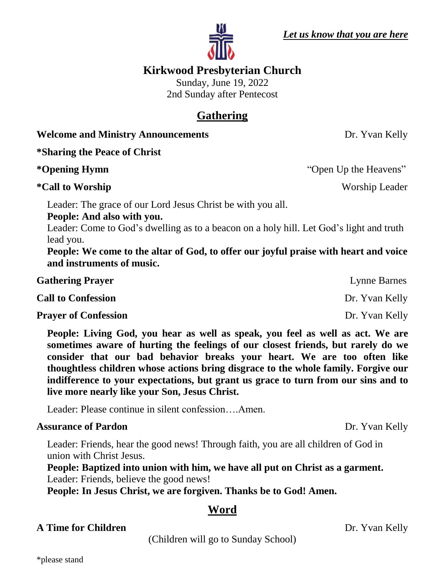

## **Kirkwood Presbyterian Church**

Sunday, June 19, 2022 2nd Sunday after Pentecost

# **Gathering**

**Welcome and Ministry Announcements** Dr. Yvan Kelly

**\*Sharing the Peace of Christ**

**\*Opening Hymn** "Open Up the Heavens"

**\*Call to Worship** Worship Leader

Leader: The grace of our Lord Jesus Christ be with you all.

**People: And also with you.**

Leader: Come to God's dwelling as to a beacon on a holy hill. Let God's light and truth lead you.

**People: We come to the altar of God, to offer our joyful praise with heart and voice and instruments of music.**

| <b>Gathering Prayer</b>     | Lynne Barnes   |
|-----------------------------|----------------|
| <b>Call to Confession</b>   | Dr. Yvan Kelly |
| <b>Prayer of Confession</b> | Dr. Yvan Kelly |

**People: Living God, you hear as well as speak, you feel as well as act. We are sometimes aware of hurting the feelings of our closest friends, but rarely do we consider that our bad behavior breaks your heart. We are too often like thoughtless children whose actions bring disgrace to the whole family. Forgive our indifference to your expectations, but grant us grace to turn from our sins and to live more nearly like your Son, Jesus Christ.**

Leader: Please continue in silent confession….Amen.

### **Assurance of Pardon** Dr. Yvan Kelly

Leader: Friends, hear the good news! Through faith, you are all children of God in union with Christ Jesus.

**People: Baptized into union with him, we have all put on Christ as a garment.** Leader: Friends, believe the good news!

**People: In Jesus Christ, we are forgiven. Thanks be to God! Amen.**

# **Word**

### **A Time** for **Children** Dr. Yvan Kelly

(Children will go to Sunday School)

\*please stand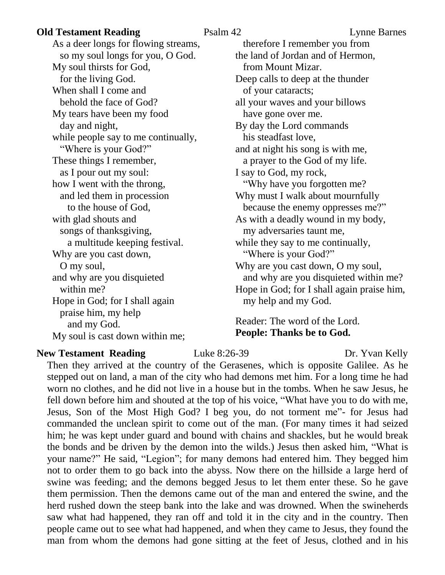#### **Old Testament Reading** Psalm 42 Lynne Barnes

As a deer longs for flowing streams, so my soul longs for you, O God. My soul thirsts for God, for the living God. When shall I come and behold the face of God? My tears have been my food day and night, while people say to me continually, "Where is your God?" These things I remember, as I pour out my soul: how I went with the throng, and led them in procession to the house of God, with glad shouts and songs of thanksgiving, a multitude keeping festival. Why are you cast down, O my soul, and why are you disquieted within me? Hope in God; for I shall again praise him, my help and my God. My soul is cast down within me;

 therefore I remember you from the land of Jordan and of Hermon, from Mount Mizar. Deep calls to deep at the thunder of your cataracts; all your waves and your billows have gone over me. By day the Lord commands his steadfast love, and at night his song is with me, a prayer to the God of my life. I say to God, my rock, "Why have you forgotten me? Why must I walk about mournfully because the enemy oppresses me?" As with a deadly wound in my body, my adversaries taunt me, while they say to me continually, "Where is your God?" Why are you cast down, O my soul, and why are you disquieted within me? Hope in God; for I shall again praise him, my help and my God.

#### Reader: The word of the Lord. **People: Thanks be to God.**

#### **New Testament Reading Luke 8:26-39 Dr. Yvan Kelly**

Then they arrived at the country of the Gerasenes, which is opposite Galilee. As he stepped out on land, a man of the city who had demons met him. For a long time he had worn no clothes, and he did not live in a house but in the tombs. When he saw Jesus, he fell down before him and shouted at the top of his voice, "What have you to do with me, Jesus, Son of the Most High God? I beg you, do not torment me"- for Jesus had commanded the unclean spirit to come out of the man. (For many times it had seized him; he was kept under guard and bound with chains and shackles, but he would break the bonds and be driven by the demon into the wilds.) Jesus then asked him, "What is your name?" He said, "Legion"; for many demons had entered him. They begged him not to order them to go back into the abyss. Now there on the hillside a large herd of swine was feeding; and the demons begged Jesus to let them enter these. So he gave them permission. Then the demons came out of the man and entered the swine, and the herd rushed down the steep bank into the lake and was drowned. When the swineherds saw what had happened, they ran off and told it in the city and in the country. Then people came out to see what had happened, and when they came to Jesus, they found the man from whom the demons had gone sitting at the feet of Jesus, clothed and in his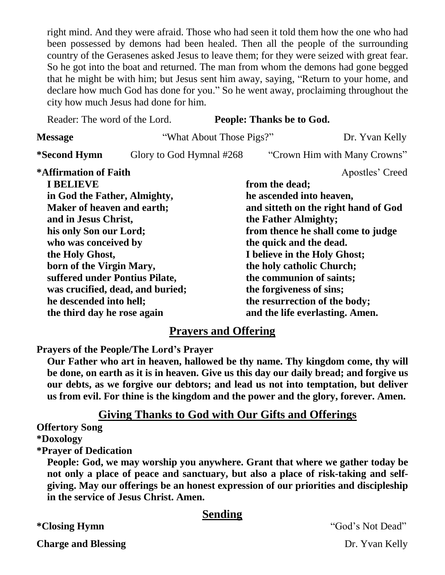right mind. And they were afraid. Those who had seen it told them how the one who had been possessed by demons had been healed. Then all the people of the surrounding country of the Gerasenes asked Jesus to leave them; for they were seized with great fear. So he got into the boat and returned. The man from whom the demons had gone begged that he might be with him; but Jesus sent him away, saying, "Return to your home, and declare how much God has done for you." So he went away, proclaiming throughout the city how much Jesus had done for him.

| Reader: The word of the Lord.                                                                                                                                                                                                                                                                                                                                    |                          | People: Thanks be to God.                                                                                                                                                                                                                                                                                                                                            |                              |
|------------------------------------------------------------------------------------------------------------------------------------------------------------------------------------------------------------------------------------------------------------------------------------------------------------------------------------------------------------------|--------------------------|----------------------------------------------------------------------------------------------------------------------------------------------------------------------------------------------------------------------------------------------------------------------------------------------------------------------------------------------------------------------|------------------------------|
| <b>Message</b>                                                                                                                                                                                                                                                                                                                                                   | "What About Those Pigs?" |                                                                                                                                                                                                                                                                                                                                                                      | Dr. Yvan Kelly               |
| *Second Hymn                                                                                                                                                                                                                                                                                                                                                     | Glory to God Hymnal #268 |                                                                                                                                                                                                                                                                                                                                                                      | "Crown Him with Many Crowns" |
| *Affirmation of Faith<br><b>I BELIEVE</b><br>in God the Father, Almighty,<br>Maker of heaven and earth;<br>and in Jesus Christ,<br>his only Son our Lord;<br>who was conceived by<br>the Holy Ghost,<br>born of the Virgin Mary,<br>suffered under Pontius Pilate,<br>was crucified, dead, and buried;<br>he descended into hell;<br>the third day he rose again |                          | from the dead;<br>he ascended into heaven,<br>and sitteth on the right hand of God<br>the Father Almighty;<br>from thence he shall come to judge<br>the quick and the dead.<br>I believe in the Holy Ghost;<br>the holy catholic Church;<br>the communion of saints;<br>the forgiveness of sins;<br>the resurrection of the body;<br>and the life everlasting. Amen. | Apostles' Creed              |

#### **Prayers and Offering**

**Prayers of the People/The Lord's Prayer** 

**Our Father who art in heaven, hallowed be thy name. Thy kingdom come, thy will be done, on earth as it is in heaven. Give us this day our daily bread; and forgive us our debts, as we forgive our debtors; and lead us not into temptation, but deliver us from evil. For thine is the kingdom and the power and the glory, forever. Amen.**

#### **Giving Thanks to God with Our Gifts and Offerings**

**Offertory Song**

**\*Doxology**

**\*Prayer of Dedication**

**People: God, we may worship you anywhere. Grant that where we gather today be not only a place of peace and sanctuary, but also a place of risk-taking and selfgiving. May our offerings be an honest expression of our priorities and discipleship in the service of Jesus Christ. Amen.**

## **Sending**

**Charge and Blessing** Dr. Yvan Kelly

**\*Closing Hymn** "God's Not Dead"